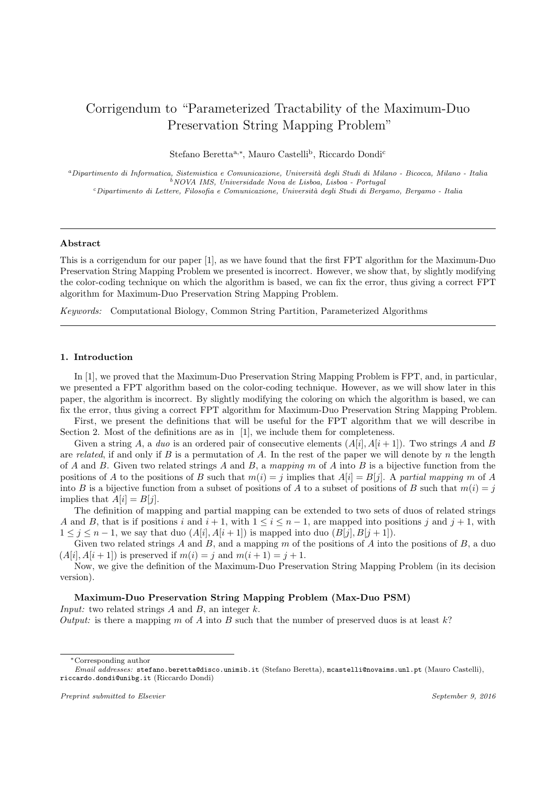# Corrigendum to "Parameterized Tractability of the Maximum-Duo Preservation String Mapping Problem"

Stefano Beretta<sup>a,∗</sup>, Mauro Castelli<sup>b</sup>, Riccardo Dondi<sup>c</sup>

<sup>a</sup>Dipartimento di Informatica, Sistemistica e Comunicazione, Università degli Studi di Milano - Bicocca, Milano - Italia  $^{\acute{b}}$  NOVA IMS, Universidade Nova de Lisboa, Lisboa - Portugal  $c$ Dipartimento di Lettere, Filosofia e Comunicazione, Università degli Studi di Bergamo, Bergamo - Italia

## Abstract

This is a corrigendum for our paper [1], as we have found that the first FPT algorithm for the Maximum-Duo Preservation String Mapping Problem we presented is incorrect. However, we show that, by slightly modifying the color-coding technique on which the algorithm is based, we can fix the error, thus giving a correct FPT algorithm for Maximum-Duo Preservation String Mapping Problem.

Keywords: Computational Biology, Common String Partition, Parameterized Algorithms

## 1. Introduction

In [1], we proved that the Maximum-Duo Preservation String Mapping Problem is FPT, and, in particular, we presented a FPT algorithm based on the color-coding technique. However, as we will show later in this paper, the algorithm is incorrect. By slightly modifying the coloring on which the algorithm is based, we can fix the error, thus giving a correct FPT algorithm for Maximum-Duo Preservation String Mapping Problem.

First, we present the definitions that will be useful for the FPT algorithm that we will describe in Section 2. Most of the definitions are as in [1], we include them for completeness.

Given a string A, a duo is an ordered pair of consecutive elements  $(A[i], A[i + 1])$ . Two strings A and B are related, if and only if B is a permutation of A. In the rest of the paper we will denote by n the length of A and B. Given two related strings A and B, a mapping m of A into B is a bijective function from the positions of A to the positions of B such that  $m(i) = j$  implies that  $A[i] = B[j]$ . A partial mapping m of A into B is a bijective function from a subset of positions of A to a subset of positions of B such that  $m(i) = j$ implies that  $A[i] = B[i]$ .

The definition of mapping and partial mapping can be extended to two sets of duos of related strings A and B, that is if positions i and  $i + 1$ , with  $1 \le i \le n - 1$ , are mapped into positions j and  $j + 1$ , with  $1 \leq j \leq n-1$ , we say that duo  $(A[i], A[i+1])$  is mapped into duo  $(B[j], B[j+1])$ .

Given two related strings A and B, and a mapping  $m$  of the positions of A into the positions of  $B$ , a duo  $(A[i], A[i + 1])$  is preserved if  $m(i) = j$  and  $m(i + 1) = j + 1$ .

Now, we give the definition of the Maximum-Duo Preservation String Mapping Problem (in its decision version).

# Maximum-Duo Preservation String Mapping Problem (Max-Duo PSM)

*Input:* two related strings  $A$  and  $B$ , an integer  $k$ .

Output: is there a mapping m of A into B such that the number of preserved duos is at least  $k$ ?

<sup>∗</sup>Corresponding author

Preprint submitted to Elsevier September 9, 2016

Email addresses: stefano.beretta@disco.unimib.it (Stefano Beretta), mcastelli@novaims.unl.pt (Mauro Castelli), riccardo.dondi@unibg.it (Riccardo Dondi)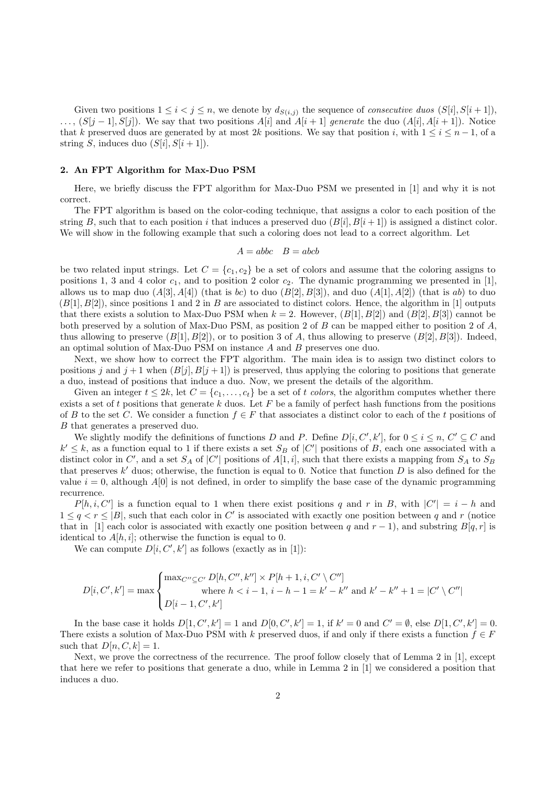Given two positions  $1 \leq i < j \leq n$ , we denote by  $d_{S(i,j)}$  the sequence of *consecutive duos*  $(S[i], S[i+1])$ ,  $\ldots$ ,  $(S[j-1], S[j])$ . We say that two positions  $A[i]$  and  $A[i+1]$  generate the duo  $(A[i], A[i+1])$ . Notice that k preserved duos are generated by at most 2k positions. We say that position i, with  $1 \le i \le n-1$ , of a string S, induces duo  $(S[i], S[i+1])$ .

## 2. An FPT Algorithm for Max-Duo PSM

Here, we briefly discuss the FPT algorithm for Max-Duo PSM we presented in [1] and why it is not correct.

The FPT algorithm is based on the color-coding technique, that assigns a color to each position of the string B, such that to each position i that induces a preserved duo  $(B[i], B[i+1])$  is assigned a distinct color. We will show in the following example that such a coloring does not lead to a correct algorithm. Let

$$
A = abbc \quad B = abcb
$$

be two related input strings. Let  $C = \{c_1, c_2\}$  be a set of colors and assume that the coloring assigns to positions 1, 3 and 4 color  $c_1$ , and to position 2 color  $c_2$ . The dynamic programming we presented in [1], allows us to map duo  $(A[3], A[4])$  (that is bc) to duo  $(B[2], B[3])$ , and duo  $(A[1], A[2])$  (that is ab) to duo  $(B[1], B[2])$ , since positions 1 and 2 in B are associated to distinct colors. Hence, the algorithm in [1] outputs that there exists a solution to Max-Duo PSM when  $k = 2$ . However,  $(B[1], B[2])$  and  $(B[2], B[3])$  cannot be both preserved by a solution of Max-Duo PSM, as position 2 of B can be mapped either to position 2 of A, thus allowing to preserve  $(B[1], B[2])$ , or to position 3 of A, thus allowing to preserve  $(B[2], B[3])$ . Indeed, an optimal solution of Max-Duo PSM on instance A and B preserves one duo.

Next, we show how to correct the FPT algorithm. The main idea is to assign two distinct colors to positions j and  $j + 1$  when  $(B[j], B[j + 1])$  is preserved, thus applying the coloring to positions that generate a duo, instead of positions that induce a duo. Now, we present the details of the algorithm.

Given an integer  $t \leq 2k$ , let  $C = \{c_1, \ldots, c_t\}$  be a set of t colors, the algorithm computes whether there exists a set of t positions that generate  $k$  duos. Let  $F$  be a family of perfect hash functions from the positions of B to the set C. We consider a function  $f \in F$  that associates a distinct color to each of the t positions of B that generates a preserved duo.

We slightly modify the definitions of functions D and P. Define  $D[i, C', k']$ , for  $0 \le i \le n, C' \subseteq C$  and  $k' \leq k$ , as a function equal to 1 if there exists a set  $S_B$  of  $|C'|$  positions of B, each one associated with a distinct color in C', and a set  $S_A$  of |C'| positions of  $A[1, i]$ , such that there exists a mapping from  $S_A$  to  $S_B$ that preserves  $k'$  duos; otherwise, the function is equal to 0. Notice that function  $D$  is also defined for the value  $i = 0$ , although  $A[0]$  is not defined, in order to simplify the base case of the dynamic programming recurrence.

 $P[h, i, C']$  is a function equal to 1 when there exist positions q and r in B, with  $|C'| = i - h$  and  $1 \leq q < r \leq |B|$ , such that each color in C' is associated with exactly one position between q and r (notice that in [1] each color is associated with exactly one position between q and  $r - 1$ ), and substring B[q, r] is identical to  $A[h, i]$ ; otherwise the function is equal to 0.

We can compute  $D[i, C', k']$  as follows (exactly as in [1]):

$$
D[i, C', k'] = \max \begin{cases} \max_{C'' \subseteq C'} D[h, C'', k''] \times P[h+1, i, C' \setminus C''] \\ \text{where } h < i-1, i-h-1 = k' - k'' \text{ and } k' - k'' + 1 = |C' \setminus C''| \\ D[i-1, C', k'] \end{cases}
$$

In the base case it holds  $D[1, C', k'] = 1$  and  $D[0, C', k'] = 1$ , if  $k' = 0$  and  $C' = \emptyset$ , else  $D[1, C', k'] = 0$ . There exists a solution of Max-Duo PSM with k preserved duos, if and only if there exists a function  $f \in F$ such that  $D[n, C, k] = 1$ .

Next, we prove the correctness of the recurrence. The proof follow closely that of Lemma 2 in [1], except that here we refer to positions that generate a duo, while in Lemma 2 in [1] we considered a position that induces a duo.